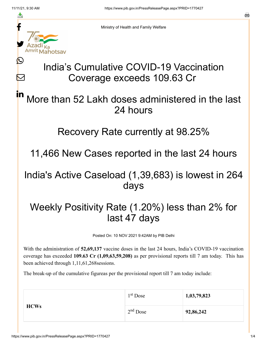≛

Ŀ

 $\bm{\nabla}$ 



Ministry of Health and Family Welfare

# India's Cumulative COVID-19 Vaccination Coverage exceeds 109.63 Cr

#### More than 52 Lakh doses administered in the last 24 hours in

#### Recovery Rate currently at 98.25%

11,466 New Cases reported in the last 24 hours

### India's Active Caseload (1,39,683) is lowest in 264 days

## Weekly Positivity Rate (1.20%) less than 2% for last 47 days

Posted On: 10 NOV 2021 9:42AM by PIB Delhi

With the administration of **52,69,137** vaccine doses in the last 24 hours, India's COVID-19 vaccination coverage has exceeded **109.63 Cr (1,09,63,59,208)** as per provisional reports till 7 am today. This has been achieved through 1,11,61,268sessions.

The break-up of the cumulative figureas per the provisional report till 7 am today include:

| <b>HCWs</b> | $1st$ Dose | 1,03,79,823 |
|-------------|------------|-------------|
|             | $2nd$ Dose | 92,86,242   |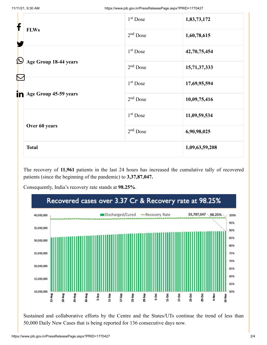| f                 |                       | 1 <sup>st</sup> Dose | 1,83,73,172    |
|-------------------|-----------------------|----------------------|----------------|
|                   | <b>FLWs</b>           | $2nd$ Dose           | 1,60,78,615    |
| $\bm{\mathbb{O}}$ |                       | $1st$ Dose           | 42,70,75,454   |
|                   | Age Group 18-44 years | $2nd$ Dose           | 15,71,37,333   |
|                   |                       | $1st$ Dose           | 17,69,95,594   |
| in                | Age Group 45-59 years | $2nd$ Dose           | 10,09,75,416   |
|                   |                       | $1st$ Dose           | 11,09,59,534   |
|                   | Over 60 years         | $2nd$ Dose           | 6,90,98,025    |
|                   | <b>Total</b>          |                      | 1,09,63,59,208 |

The recovery of **11,961** patients in the last 24 hours has increased the cumulative tally of recovered patients (since the beginning of the pandemic) to **3,37,87,047.**

Consequently, India's recovery rate stands at **98.25%**.



Sustained and collaborative efforts by the Centre and the States/UTs continue the trend of less than 50,000 Daily New Cases that is being reported for 136 consecutive days now.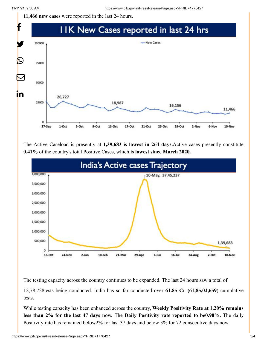**11,466 new cases** were reported in the last 24 hours.



The Active Caseload is presently at **1,39,683 is lowest in 264 days.**Active cases presently constitute **0.41%** of the country's total Positive Cases, which **is lowest since March 2020.**



The testing capacity across the country continues to be expanded. The last 24 hours saw a total of

12,78,728tests being conducted. India has so far conducted over **61.85 Cr (61,85,02,659**) cumulative tests.

While testing capacity has been enhanced across the country, **Weekly Positivity Rate at 1.20% remains less than 2% for the last 47 days now.** The **Daily Positivity rate reported to be0.90%.** The daily Positivity rate has remained below2% for last 37 days and below 3% for 72 consecutive days now.